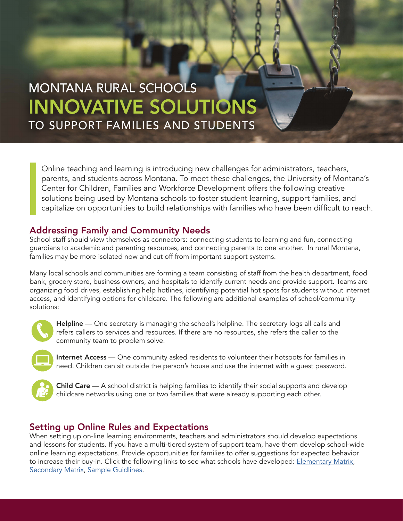# MONTANA RURAL SCHOOLS INNOVATIVE SOLUTIONS TO SUPPORT FAMILIES AND STUDENTS

Online teaching and learning is introducing new challenges for administrators, teachers, parents, and students across Montana. To meet these challenges, the University of Montana's Center for Children, Families and Workforce Development offers the following creative solutions being used by Montana schools to foster student learning, support families, and capitalize on opportunities to build relationships with families who have been difficult to reach.

## Addressing Family and Community Needs

School staff should view themselves as connectors: connecting students to learning and fun, connecting guardians to academic and parenting resources, and connecting parents to one another. In rural Montana, families may be more isolated now and cut off from important support systems.

Many local schools and communities are forming a team consisting of staff from the health department, food bank, grocery store, business owners, and hospitals to identify current needs and provide support. Teams are organizing food drives, establishing help hotlines, identifying potential hot spots for students without internet access, and identifying options for childcare. The following are additional examples of school/community solutions:



Helpline — One secretary is managing the school's helpline. The secretary logs all calls and refers callers to services and resources. If there are no resources, she refers the caller to the community team to problem solve.



Internet Access — One community asked residents to volunteer their hotspots for families in need. Children can sit outside the person's house and use the internet with a guest password.



**Child Care** — A school district is helping families to identify their social supports and develop childcare networks using one or two families that were already supporting each other.

# Setting up Online Rules and Expectations

When setting up on-line learning environments, teachers and administrators should develop expectations and lessons for students. If you have a multi-tiered system of support team, have them develop school-wide online learning expectations. Provide opportunities for families to offer suggestions for expected behavior to increase their buy-in. Click the following links to see what schools have developed: [Elementary Matrix,](https://umt.box.com/s/scgxewn3czhr3vn5qbngj9q6af4o07a7) **[Secondary Matrix](https://umt.box.com/s/z3th240zx5qgfnupg0tx341terlqrd27), [Sample Guidlines.](https://umt.box.com/s/7ojn8xk4g3eyu02u5mtgrz4f6spchynt)**